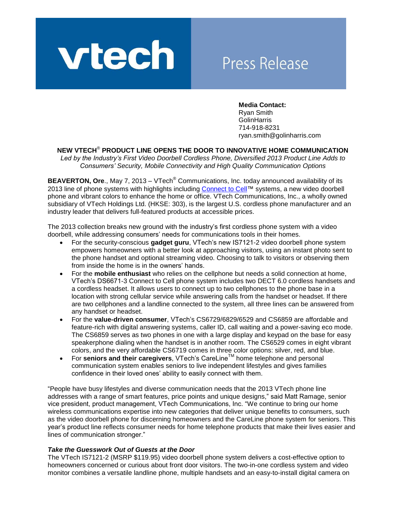

# **Press Release**

**Media Contact:**  Ryan Smith **GolinHarris** 714-918-8231 ryan.smith@golinharris.com

## **NEW VTECH**® **PRODUCT LINE OPENS THE DOOR TO INNOVATIVE HOME COMMUNICATION**

*Led by the Industry's First Video Doorbell Cordless Phone, Diversified 2013 Product Line Adds to Consumers' Security, Mobile Connectivity and High Quality Communication Options*

**BEAVERTON, Ore., May 7, 2013 – VTech<sup>®</sup> Communications, Inc. today announced availability of its** 2013 line of phone systems with highlights including [Connect to Cell™](http://www.vtechphones.com/vtechphones/index.cfm/shop/cordless-phones/connect-to-cell/) systems, a new video doorbell phone and vibrant colors to enhance the home or office. VTech Communications, Inc., a wholly owned subsidiary of VTech Holdings Ltd. (HKSE: 303), is the largest U.S. cordless phone manufacturer and an industry leader that delivers full-featured products at accessible prices.

The 2013 collection breaks new ground with the industry's first cordless phone system with a video doorbell, while addressing consumers' needs for communications tools in their homes.

- For the security-conscious **gadget guru**, VTech's new IS7121-2 video doorbell phone system empowers homeowners with a better look at approaching visitors, using an instant photo sent to the phone handset and optional streaming video. Choosing to talk to visitors or observing them from inside the home is in the owners' hands.
- For the **mobile enthusiast** who relies on the cellphone but needs a solid connection at home, VTech's DS6671-3 Connect to Cell phone system includes two DECT 6.0 cordless handsets and a cordless headset. It allows users to connect up to two cellphones to the phone base in a location with strong cellular service while answering calls from the handset or headset. If there are two cellphones and a landline connected to the system, all three lines can be answered from any handset or headset.
- For the **value-driven consumer**, VTech's CS6729/6829/6529 and CS6859 are affordable and feature-rich with digital answering systems, caller ID, call waiting and a power-saving eco mode. The CS6859 serves as two phones in one with a large display and keypad on the base for easy speakerphone dialing when the handset is in another room. The CS6529 comes in eight vibrant colors, and the very affordable CS6719 comes in three color options: silver, red, and blue.
- For **seniors and their caregivers**, VTech's CareLineTM home telephone and personal communication system enables seniors to live independent lifestyles and gives families confidence in their loved ones' ability to easily connect with them.

"People have busy lifestyles and diverse communication needs that the 2013 VTech phone line addresses with a range of smart features, price points and unique designs," said Matt Ramage, senior vice president, product management, VTech Communications, Inc. "We continue to bring our home wireless communications expertise into new categories that deliver unique benefits to consumers, such as the video doorbell phone for discerning homeowners and the CareLine phone system for seniors. This year's product line reflects consumer needs for home telephone products that make their lives easier and lines of communication stronger."

#### *Take the Guesswork Out of Guests at the Door*

The VTech IS7121-2 (MSRP \$119.95) video doorbell phone system delivers a cost-effective option to homeowners concerned or curious about front door visitors. The two-in-one cordless system and video monitor combines a versatile landline phone, multiple handsets and an easy-to-install digital camera on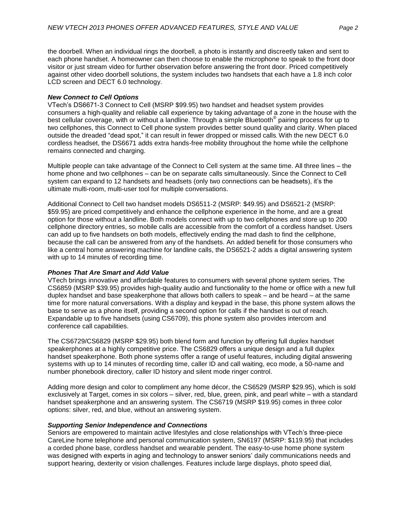the doorbell. When an individual rings the doorbell, a photo is instantly and discreetly taken and sent to each phone handset. A homeowner can then choose to enable the microphone to speak to the front door visitor or just stream video for further observation before answering the front door. Priced competitively against other video doorbell solutions, the system includes two handsets that each have a 1.8 inch color LCD screen and DECT 6.0 technology.

### *New Connect to Cell Options*

VTech's DS6671-3 Connect to Cell (MSRP \$99.95) two handset and headset system provides consumers a high-quality and reliable call experience by taking advantage of a zone in the house with the best cellular coverage, with or without a landline. Through a simple Bluetooth<sup>®</sup> pairing process for up to two cellphones, this Connect to Cell phone system provides better sound quality and clarity. When placed outside the dreaded "dead spot," it can result in fewer dropped or missed calls. With the new DECT 6.0 cordless headset, the DS6671 adds extra hands-free mobility throughout the home while the cellphone remains connected and charging.

Multiple people can take advantage of the Connect to Cell system at the same time. All three lines – the home phone and two cellphones – can be on separate calls simultaneously. Since the Connect to Cell system can expand to 12 handsets and headsets (only two connections can be headsets), it's the ultimate multi-room, multi-user tool for multiple conversations.

Additional Connect to Cell two handset models DS6511-2 (MSRP: \$49.95) and DS6521-2 (MSRP: \$59.95) are priced competitively and enhance the cellphone experience in the home, and are a great option for those without a landline. Both models connect with up to two cellphones and store up to 200 cellphone directory entries, so mobile calls are accessible from the comfort of a cordless handset. Users can add up to five handsets on both models, effectively ending the mad dash to find the cellphone, because the call can be answered from any of the handsets. An added benefit for those consumers who like a central home answering machine for landline calls, the DS6521-2 adds a digital answering system with up to 14 minutes of recording time.

## *Phones That Are Smart and Add Value*

VTech brings innovative and affordable features to consumers with several phone system series. The CS6859 (MSRP \$39.95) provides high-quality audio and functionality to the home or office with a new full duplex handset and base speakerphone that allows both callers to speak – and be heard – at the same time for more natural conversations. With a display and keypad in the base, this phone system allows the base to serve as a phone itself, providing a second option for calls if the handset is out of reach. Expandable up to five handsets (using CS6709), this phone system also provides intercom and conference call capabilities.

The CS6729/CS6829 (MSRP \$29.95) both blend form and function by offering full duplex handset speakerphones at a highly competitive price. The CS6829 offers a unique design and a full duplex handset speakerphone. Both phone systems offer a range of useful features, including digital answering systems with up to 14 minutes of recording time, caller ID and call waiting, eco mode, a 50-name and number phonebook directory, caller ID history and silent mode ringer control.

Adding more design and color to compliment any home décor, the CS6529 (MSRP \$29.95), which is sold exclusively at Target, comes in six colors – silver, red, blue, green, pink, and pearl white – with a standard handset speakerphone and an answering system. The CS6719 (MSRP \$19.95) comes in three color options: silver, red, and blue, without an answering system.

## *Supporting Senior Independence and Connections*

Seniors are empowered to maintain active lifestyles and close relationships with VTech's three-piece CareLine home telephone and personal communication system, SN6197 (MSRP: \$119.95) that includes a corded phone base, cordless handset and wearable pendent. The easy-to-use home phone system was designed with experts in aging and technology to answer seniors' daily communications needs and support hearing, dexterity or vision challenges. Features include large displays, photo speed dial,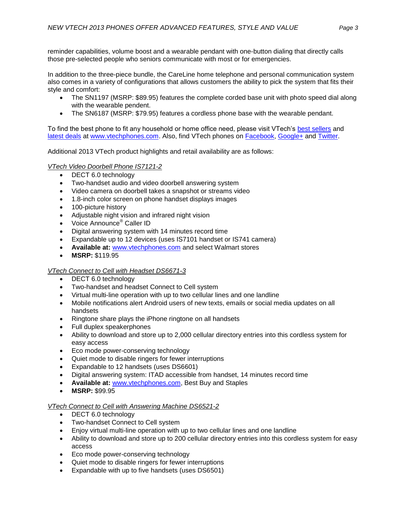reminder capabilities, volume boost and a wearable pendant with one-button dialing that directly calls those pre-selected people who seniors communicate with most or for emergencies.

In addition to the three-piece bundle, the CareLine home telephone and personal communication system also comes in a variety of configurations that allows customers the ability to pick the system that fits their style and comfort:

- The SN1197 (MSRP: \$89.95) features the complete corded base unit with photo speed dial along with the wearable pendent.
- The SN6187 (MSRP: \$79.95) features a cordless phone base with the wearable pendant.

To find the best phone to fit any household or home office need, please visit VTech's best sellers and [latest deals](http://www.vtechphones.com/vtechphones/index.cfm/deals/) at [www.vtechphones.com.](http://www.vtechphones.com/) Also, find VTech phones on [Facebook,](http://www.facebook.com/VTechPhones) [Google+](https://plus.google.com/108494731487175822014/about) and [Twitter.](http://twitter.com/vtech411)

Additional 2013 VTech product highlights and retail availability are as follows:

## *VTech Video Doorbell Phone IS7121-2*

- DECT 6.0 technology
- Two-handset audio and video doorbell answering system
- Video camera on doorbell takes a snapshot or streams video
- 1.8-inch color screen on phone handset displays images
- 100-picture history
- Adjustable night vision and infrared night vision
- Voice Announce<sup>®</sup> Caller ID
- Digital answering system with 14 minutes record time
- Expandable up to 12 devices (uses IS7101 handset or IS741 camera)
- **Available at:** [www.vtechphones.com](http://www.vtechphones.com/) and select Walmart stores
- **MSRP:** \$119.95

#### *VTech Connect to Cell with Headset DS6671-3*

- DECT 6.0 technology
- Two-handset and headset Connect to Cell system
- Virtual multi-line operation with up to two cellular lines and one landline
- Mobile notifications alert Android users of new texts, emails or social media updates on all handsets
- Ringtone share plays the iPhone ringtone on all handsets
- Full duplex speakerphones
- Ability to download and store up to 2,000 cellular directory entries into this cordless system for easy access
- Eco mode power-conserving technology
- Quiet mode to disable ringers for fewer interruptions
- Expandable to 12 handsets (uses DS6601)
- Digital answering system: ITAD accessible from handset, 14 minutes record time
- **Available at:** [www.vtechphones.com,](http://www.vtechphones.com/) Best Buy and Staples
- **MSRP:** \$99.95

#### *VTech Connect to Cell with Answering Machine DS6521-2*

- DECT 6.0 technology
- Two-handset Connect to Cell system
- Enjoy virtual multi-line operation with up to two cellular lines and one landline
- Ability to download and store up to 200 cellular directory entries into this cordless system for easy access
- Eco mode power-conserving technology
- Quiet mode to disable ringers for fewer interruptions
- Expandable with up to five handsets (uses DS6501)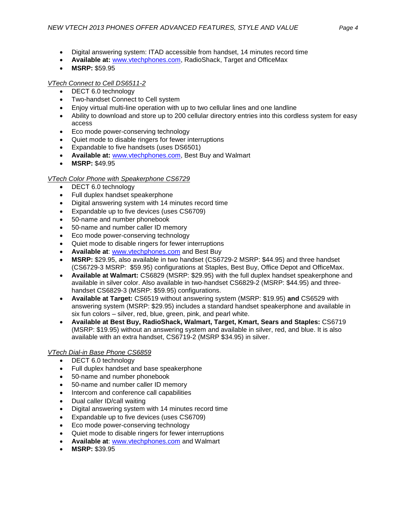- Digital answering system: ITAD accessible from handset, 14 minutes record time
- **Available at:** [www.vtechphones.com,](http://www.vtechphones.com/) RadioShack, Target and OfficeMax
- **MSRP:** \$59.95

## *VTech Connect to Cell DS6511-2*

- DECT 6.0 technology
- Two-handset Connect to Cell system
- Enjoy virtual multi-line operation with up to two cellular lines and one landline
- Ability to download and store up to 200 cellular directory entries into this cordless system for easy access
- Eco mode power-conserving technology
- Quiet mode to disable ringers for fewer interruptions
- Expandable to five handsets (uses DS6501)
- **Available at:** [www.vtechphones.com,](http://www.vtechphones.com/) Best Buy and Walmart
- **MSRP:** \$49.95

## *VTech Color Phone with Speakerphone CS6729*

- DECT 6.0 technology
- Full duplex handset speakerphone
- Digital answering system with 14 minutes record time
- Expandable up to five devices (uses CS6709)
- 50-name and number phonebook
- 50-name and number caller ID memory
- Eco mode power-conserving technology
- Quiet mode to disable ringers for fewer interruptions
- **Available at**: [www.vtechphones.com](http://www.vtechphones.com/) and Best Buy
- **MSRP:** \$29.95, also available in two handset (CS6729-2 MSRP: \$44.95) and three handset (CS6729-3 MSRP: \$59.95) configurations at Staples, Best Buy, Office Depot and OfficeMax.
- **Available at Walmart:** CS6829 (MSRP: \$29.95) with the full duplex handset speakerphone and available in silver color. Also available in two-handset CS6829-2 (MSRP: \$44.95) and threehandset CS6829-3 (MSRP: \$59.95) configurations.
- **Available at Target:** CS6519 without answering system (MSRP: \$19.95) **and** CS6529 with answering system (MSRP: \$29.95) includes a standard handset speakerphone and available in six fun colors – silver, red, blue, green, pink, and pearl white.
- **Available at Best Buy, RadioShack, Walmart, Target, Kmart, Sears and Staples:** CS6719 (MSRP: \$19.95) without an answering system and available in silver, red, and blue. It is also available with an extra handset, CS6719-2 (MSRP \$34.95) in silver.

## *VTech Dial-in Base Phone CS6859*

- DECT 6.0 technology
- Full duplex handset and base speakerphone
- 50-name and number phonebook
- 50-name and number caller ID memory
- Intercom and conference call capabilities
- Dual caller ID/call waiting
- Digital answering system with 14 minutes record time
- Expandable up to five devices (uses CS6709)
- Eco mode power-conserving technology
- Quiet mode to disable ringers for fewer interruptions
- **Available at**: [www.vtechphones.com](http://www.vtechphones.com/) and Walmart
- **MSRP:** \$39.95